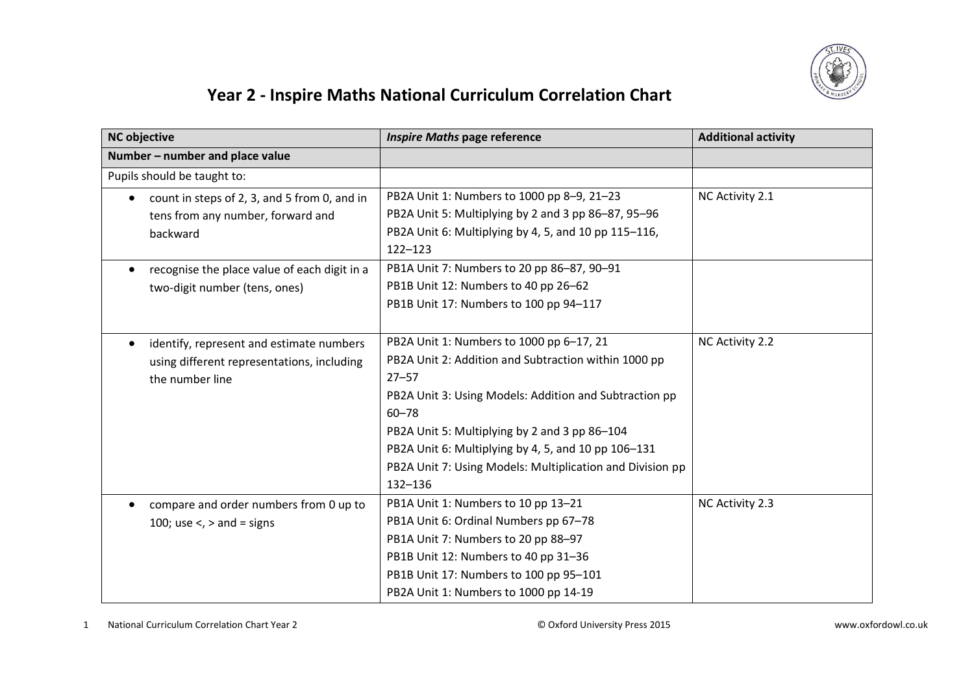

## **Year 2 - Inspire Maths National Curriculum Correlation Chart**

| <b>NC objective</b>                                                                                       | <b>Inspire Maths page reference</b>                                                                                                                                                                                                                                                                                                                                  | <b>Additional activity</b> |
|-----------------------------------------------------------------------------------------------------------|----------------------------------------------------------------------------------------------------------------------------------------------------------------------------------------------------------------------------------------------------------------------------------------------------------------------------------------------------------------------|----------------------------|
| Number - number and place value                                                                           |                                                                                                                                                                                                                                                                                                                                                                      |                            |
| Pupils should be taught to:                                                                               |                                                                                                                                                                                                                                                                                                                                                                      |                            |
| count in steps of 2, 3, and 5 from 0, and in<br>tens from any number, forward and<br>backward             | PB2A Unit 1: Numbers to 1000 pp 8-9, 21-23<br>PB2A Unit 5: Multiplying by 2 and 3 pp 86-87, 95-96<br>PB2A Unit 6: Multiplying by 4, 5, and 10 pp 115-116,<br>122-123                                                                                                                                                                                                 | NC Activity 2.1            |
| recognise the place value of each digit in a<br>two-digit number (tens, ones)                             | PB1A Unit 7: Numbers to 20 pp 86-87, 90-91<br>PB1B Unit 12: Numbers to 40 pp 26-62<br>PB1B Unit 17: Numbers to 100 pp 94-117                                                                                                                                                                                                                                         |                            |
| identify, represent and estimate numbers<br>using different representations, including<br>the number line | PB2A Unit 1: Numbers to 1000 pp 6-17, 21<br>PB2A Unit 2: Addition and Subtraction within 1000 pp<br>$27 - 57$<br>PB2A Unit 3: Using Models: Addition and Subtraction pp<br>$60 - 78$<br>PB2A Unit 5: Multiplying by 2 and 3 pp 86-104<br>PB2A Unit 6: Multiplying by 4, 5, and 10 pp 106-131<br>PB2A Unit 7: Using Models: Multiplication and Division pp<br>132-136 | NC Activity 2.2            |
| compare and order numbers from 0 up to<br>100; use $\lt$ , $>$ and = signs                                | PB1A Unit 1: Numbers to 10 pp 13-21<br>PB1A Unit 6: Ordinal Numbers pp 67-78<br>PB1A Unit 7: Numbers to 20 pp 88-97<br>PB1B Unit 12: Numbers to 40 pp 31-36<br>PB1B Unit 17: Numbers to 100 pp 95-101<br>PB2A Unit 1: Numbers to 1000 pp 14-19                                                                                                                       | NC Activity 2.3            |

1 National Curriculum Correlation Chart Year 2 © Oxford University Press 2015 www.oxfordowl.co.uk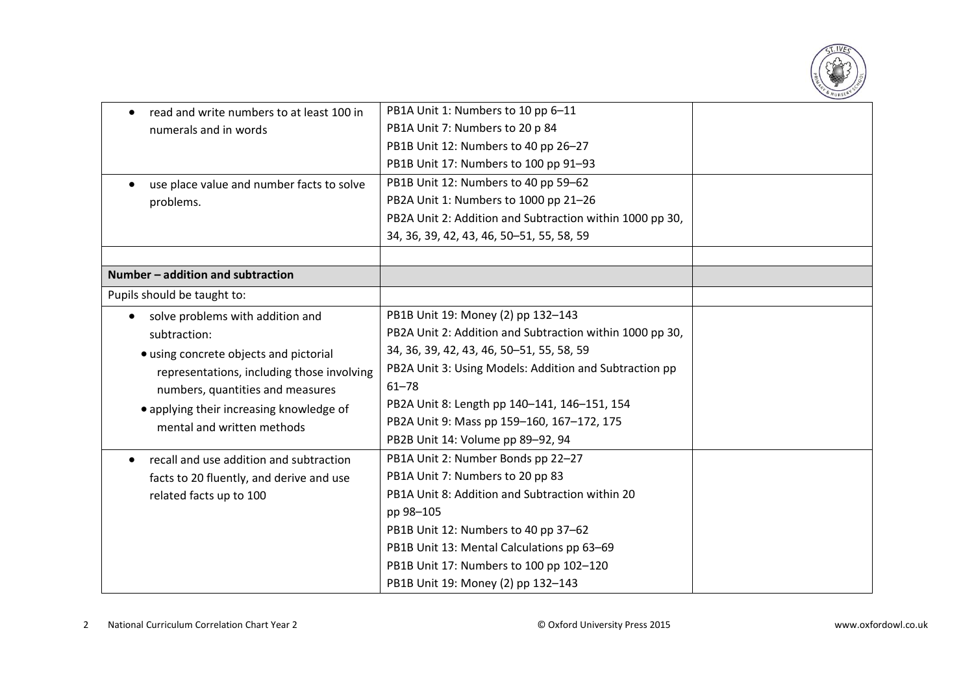

| read and write numbers to at least 100 in<br>$\bullet$ | PB1A Unit 1: Numbers to 10 pp 6-11                       |  |
|--------------------------------------------------------|----------------------------------------------------------|--|
| numerals and in words                                  | PB1A Unit 7: Numbers to 20 p 84                          |  |
|                                                        | PB1B Unit 12: Numbers to 40 pp 26-27                     |  |
|                                                        | PB1B Unit 17: Numbers to 100 pp 91-93                    |  |
| use place value and number facts to solve              | PB1B Unit 12: Numbers to 40 pp 59-62                     |  |
| problems.                                              | PB2A Unit 1: Numbers to 1000 pp 21-26                    |  |
|                                                        | PB2A Unit 2: Addition and Subtraction within 1000 pp 30, |  |
|                                                        | 34, 36, 39, 42, 43, 46, 50 - 51, 55, 58, 59              |  |
|                                                        |                                                          |  |
| Number - addition and subtraction                      |                                                          |  |
| Pupils should be taught to:                            |                                                          |  |
| solve problems with addition and<br>$\bullet$          | PB1B Unit 19: Money (2) pp 132-143                       |  |
| subtraction:                                           | PB2A Unit 2: Addition and Subtraction within 1000 pp 30, |  |
| • using concrete objects and pictorial                 | 34, 36, 39, 42, 43, 46, 50-51, 55, 58, 59                |  |
| representations, including those involving             | PB2A Unit 3: Using Models: Addition and Subtraction pp   |  |
| numbers, quantities and measures                       | $61 - 78$                                                |  |
| • applying their increasing knowledge of               | PB2A Unit 8: Length pp 140-141, 146-151, 154             |  |
| mental and written methods                             | PB2A Unit 9: Mass pp 159-160, 167-172, 175               |  |
|                                                        | PB2B Unit 14: Volume pp 89-92, 94                        |  |
| recall and use addition and subtraction                | PB1A Unit 2: Number Bonds pp 22-27                       |  |
| facts to 20 fluently, and derive and use               | PB1A Unit 7: Numbers to 20 pp 83                         |  |
| related facts up to 100                                | PB1A Unit 8: Addition and Subtraction within 20          |  |
|                                                        | pp 98-105                                                |  |
|                                                        | PB1B Unit 12: Numbers to 40 pp 37-62                     |  |
|                                                        | PB1B Unit 13: Mental Calculations pp 63-69               |  |
|                                                        | PB1B Unit 17: Numbers to 100 pp 102-120                  |  |
|                                                        | PB1B Unit 19: Money (2) pp 132-143                       |  |
|                                                        |                                                          |  |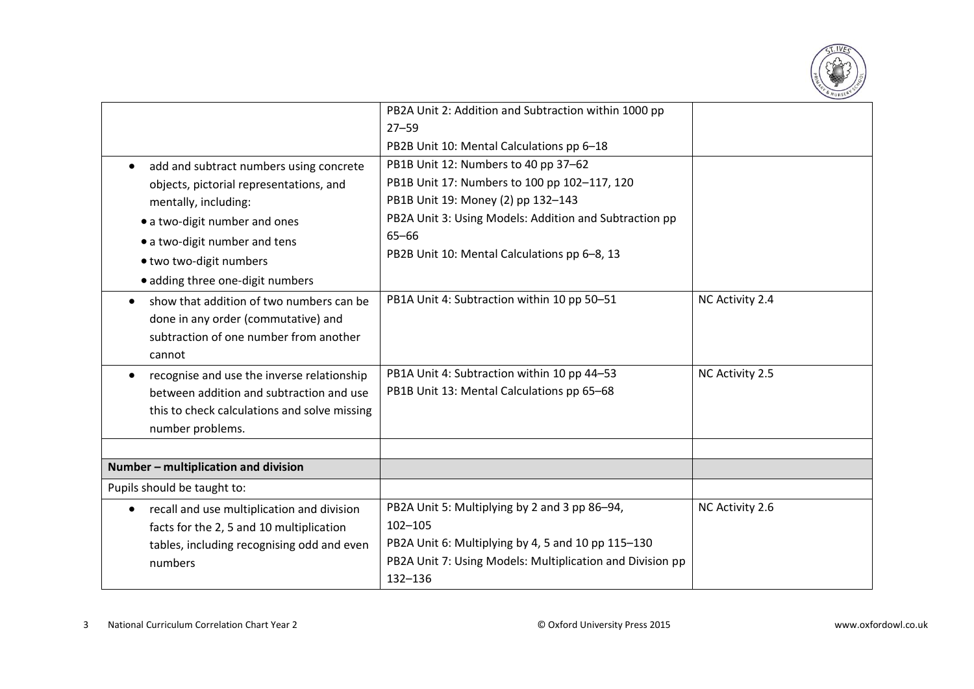

|                                                         | PB2A Unit 2: Addition and Subtraction within 1000 pp      |                 |
|---------------------------------------------------------|-----------------------------------------------------------|-----------------|
|                                                         | $27 - 59$                                                 |                 |
|                                                         | PB2B Unit 10: Mental Calculations pp 6-18                 |                 |
| add and subtract numbers using concrete<br>$\bullet$    | PB1B Unit 12: Numbers to 40 pp 37-62                      |                 |
| objects, pictorial representations, and                 | PB1B Unit 17: Numbers to 100 pp 102-117, 120              |                 |
| mentally, including:                                    | PB1B Unit 19: Money (2) pp 132-143                        |                 |
| • a two-digit number and ones                           | PB2A Unit 3: Using Models: Addition and Subtraction pp    |                 |
| • a two-digit number and tens                           | $65 - 66$                                                 |                 |
| · two two-digit numbers                                 | PB2B Unit 10: Mental Calculations pp 6-8, 13              |                 |
| · adding three one-digit numbers                        |                                                           |                 |
| show that addition of two numbers can be                | PB1A Unit 4: Subtraction within 10 pp 50-51               | NC Activity 2.4 |
| done in any order (commutative) and                     |                                                           |                 |
| subtraction of one number from another                  |                                                           |                 |
| cannot                                                  |                                                           |                 |
| recognise and use the inverse relationship              | PB1A Unit 4: Subtraction within 10 pp 44-53               | NC Activity 2.5 |
| between addition and subtraction and use                | PB1B Unit 13: Mental Calculations pp 65-68                |                 |
| this to check calculations and solve missing            |                                                           |                 |
| number problems.                                        |                                                           |                 |
|                                                         |                                                           |                 |
| Number - multiplication and division                    |                                                           |                 |
| Pupils should be taught to:                             |                                                           |                 |
| recall and use multiplication and division<br>$\bullet$ | PB2A Unit 5: Multiplying by 2 and 3 pp 86-94,             | NC Activity 2.6 |
| facts for the 2, 5 and 10 multiplication                | $102 - 105$                                               |                 |
| tables, including recognising odd and even              | PB2A Unit 6: Multiplying by 4, 5 and 10 pp 115-130        |                 |
| numbers                                                 | PB2A Unit 7: Using Models: Multiplication and Division pp |                 |
|                                                         | 132-136                                                   |                 |
|                                                         |                                                           |                 |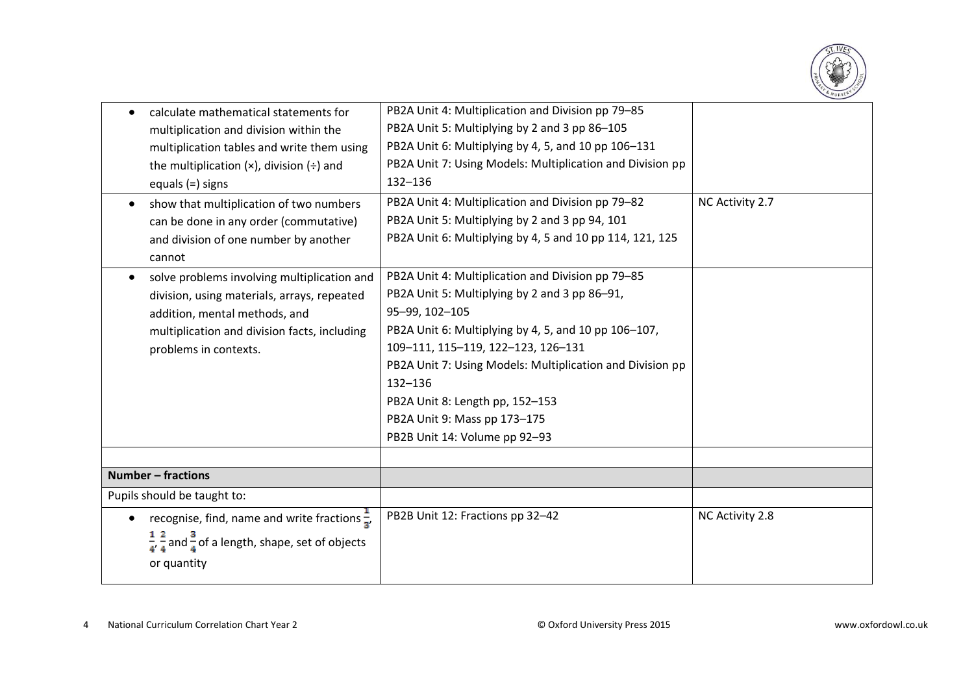

| calculate mathematical statements for                                              | PB2A Unit 4: Multiplication and Division pp 79-85         |                 |
|------------------------------------------------------------------------------------|-----------------------------------------------------------|-----------------|
| multiplication and division within the                                             | PB2A Unit 5: Multiplying by 2 and 3 pp 86-105             |                 |
| multiplication tables and write them using                                         | PB2A Unit 6: Multiplying by 4, 5, and 10 pp 106-131       |                 |
| the multiplication $(x)$ , division $(\div)$ and                                   | PB2A Unit 7: Using Models: Multiplication and Division pp |                 |
| equals $(=)$ signs                                                                 | 132-136                                                   |                 |
| show that multiplication of two numbers                                            | PB2A Unit 4: Multiplication and Division pp 79-82         | NC Activity 2.7 |
| can be done in any order (commutative)                                             | PB2A Unit 5: Multiplying by 2 and 3 pp 94, 101            |                 |
| and division of one number by another                                              | PB2A Unit 6: Multiplying by 4, 5 and 10 pp 114, 121, 125  |                 |
| cannot                                                                             |                                                           |                 |
| solve problems involving multiplication and<br>$\bullet$                           | PB2A Unit 4: Multiplication and Division pp 79-85         |                 |
| division, using materials, arrays, repeated                                        | PB2A Unit 5: Multiplying by 2 and 3 pp 86-91,             |                 |
| addition, mental methods, and                                                      | 95-99, 102-105                                            |                 |
| multiplication and division facts, including                                       | PB2A Unit 6: Multiplying by 4, 5, and 10 pp 106-107,      |                 |
| problems in contexts.                                                              | 109-111, 115-119, 122-123, 126-131                        |                 |
|                                                                                    | PB2A Unit 7: Using Models: Multiplication and Division pp |                 |
|                                                                                    | 132-136                                                   |                 |
|                                                                                    | PB2A Unit 8: Length pp, 152-153                           |                 |
|                                                                                    | PB2A Unit 9: Mass pp 173-175                              |                 |
|                                                                                    | PB2B Unit 14: Volume pp 92-93                             |                 |
|                                                                                    |                                                           |                 |
| <b>Number - fractions</b>                                                          |                                                           |                 |
| Pupils should be taught to:                                                        |                                                           |                 |
| recognise, find, name and write fractions $\frac{1}{2}$ ,<br>$\bullet$             | PB2B Unit 12: Fractions pp 32-42                          | NC Activity 2.8 |
| $\frac{1}{4}$ , $\frac{2}{4}$ and $\frac{3}{4}$ of a length, shape, set of objects |                                                           |                 |
|                                                                                    |                                                           |                 |
| or quantity                                                                        |                                                           |                 |
|                                                                                    |                                                           |                 |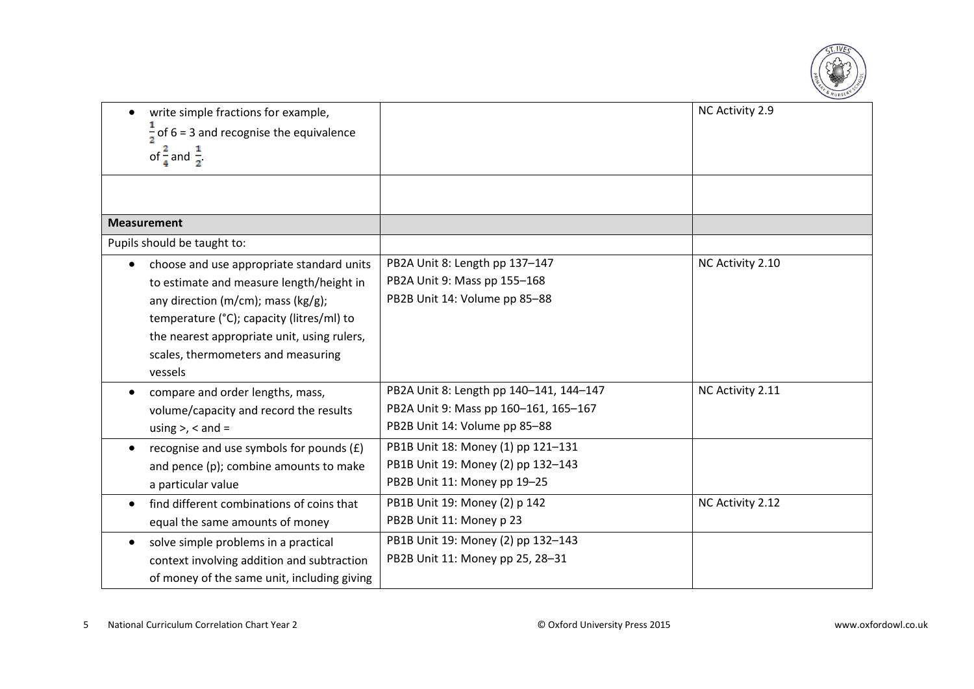

| write simple fractions for example,<br>$\bullet$       |                                         | NC Activity 2.9  |
|--------------------------------------------------------|-----------------------------------------|------------------|
| $\frac{1}{2}$ of 6 = 3 and recognise the equivalence   |                                         |                  |
| of $\frac{2}{4}$ and $\frac{1}{2}$                     |                                         |                  |
|                                                        |                                         |                  |
| <b>Measurement</b>                                     |                                         |                  |
| Pupils should be taught to:                            |                                         |                  |
| choose and use appropriate standard units              | PB2A Unit 8: Length pp 137-147          | NC Activity 2.10 |
| to estimate and measure length/height in               | PB2A Unit 9: Mass pp 155-168            |                  |
| any direction (m/cm); mass (kg/g);                     | PB2B Unit 14: Volume pp 85-88           |                  |
| temperature (°C); capacity (litres/ml) to              |                                         |                  |
| the nearest appropriate unit, using rulers,            |                                         |                  |
| scales, thermometers and measuring                     |                                         |                  |
| vessels                                                |                                         |                  |
| compare and order lengths, mass,                       | PB2A Unit 8: Length pp 140-141, 144-147 | NC Activity 2.11 |
| volume/capacity and record the results                 | PB2A Unit 9: Mass pp 160-161, 165-167   |                  |
| using $>$ , $<$ and $=$                                | PB2B Unit 14: Volume pp 85-88           |                  |
| recognise and use symbols for pounds $(f)$             | PB1B Unit 18: Money (1) pp 121-131      |                  |
| and pence (p); combine amounts to make                 | PB1B Unit 19: Money (2) pp 132-143      |                  |
| a particular value                                     | PB2B Unit 11: Money pp 19-25            |                  |
| find different combinations of coins that<br>$\bullet$ | PB1B Unit 19: Money (2) p 142           | NC Activity 2.12 |
| equal the same amounts of money                        | PB2B Unit 11: Money p 23                |                  |
| solve simple problems in a practical<br>$\bullet$      | PB1B Unit 19: Money (2) pp 132-143      |                  |
| context involving addition and subtraction             | PB2B Unit 11: Money pp 25, 28-31        |                  |
| of money of the same unit, including giving            |                                         |                  |
|                                                        |                                         |                  |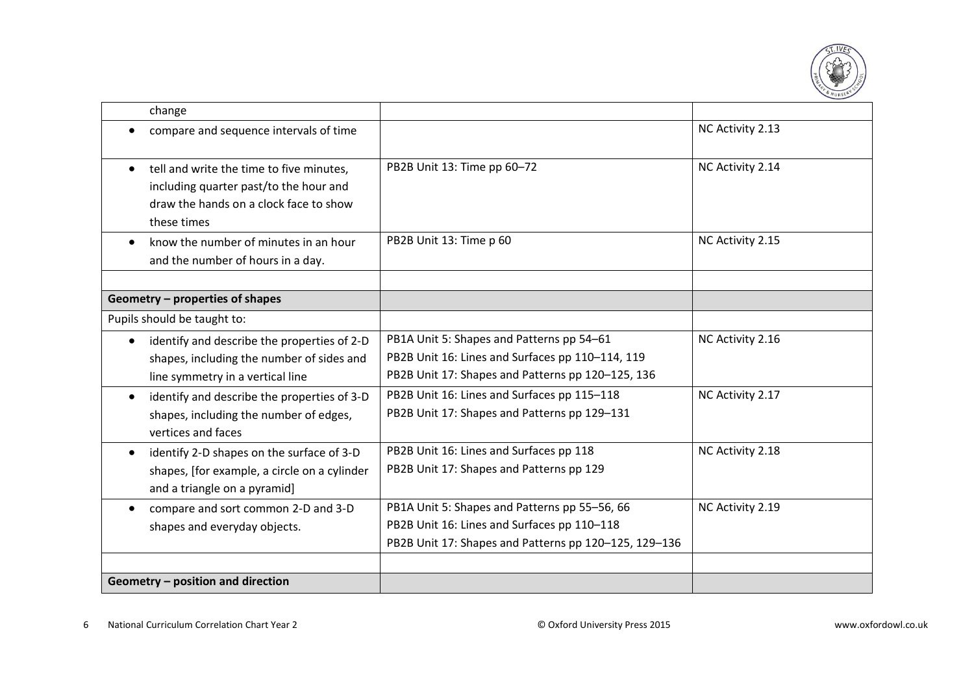

| change                                                   |                                                       |                  |
|----------------------------------------------------------|-------------------------------------------------------|------------------|
| compare and sequence intervals of time                   |                                                       | NC Activity 2.13 |
| tell and write the time to five minutes,                 | PB2B Unit 13: Time pp 60-72                           | NC Activity 2.14 |
| including quarter past/to the hour and                   |                                                       |                  |
| draw the hands on a clock face to show                   |                                                       |                  |
| these times                                              |                                                       |                  |
| know the number of minutes in an hour                    | PB2B Unit 13: Time p 60                               | NC Activity 2.15 |
| and the number of hours in a day.                        |                                                       |                  |
|                                                          |                                                       |                  |
| Geometry - properties of shapes                          |                                                       |                  |
| Pupils should be taught to:                              |                                                       |                  |
| identify and describe the properties of 2-D              | PB1A Unit 5: Shapes and Patterns pp 54-61             | NC Activity 2.16 |
| shapes, including the number of sides and                | PB2B Unit 16: Lines and Surfaces pp 110-114, 119      |                  |
| line symmetry in a vertical line                         | PB2B Unit 17: Shapes and Patterns pp 120-125, 136     |                  |
| identify and describe the properties of 3-D<br>$\bullet$ | PB2B Unit 16: Lines and Surfaces pp 115-118           | NC Activity 2.17 |
| shapes, including the number of edges,                   | PB2B Unit 17: Shapes and Patterns pp 129-131          |                  |
| vertices and faces                                       |                                                       |                  |
| identify 2-D shapes on the surface of 3-D<br>$\bullet$   | PB2B Unit 16: Lines and Surfaces pp 118               | NC Activity 2.18 |
| shapes, [for example, a circle on a cylinder             | PB2B Unit 17: Shapes and Patterns pp 129              |                  |
| and a triangle on a pyramid]                             |                                                       |                  |
| compare and sort common 2-D and 3-D                      | PB1A Unit 5: Shapes and Patterns pp 55-56, 66         | NC Activity 2.19 |
| shapes and everyday objects.                             | PB2B Unit 16: Lines and Surfaces pp 110-118           |                  |
|                                                          | PB2B Unit 17: Shapes and Patterns pp 120-125, 129-136 |                  |
|                                                          |                                                       |                  |
| Geometry - position and direction                        |                                                       |                  |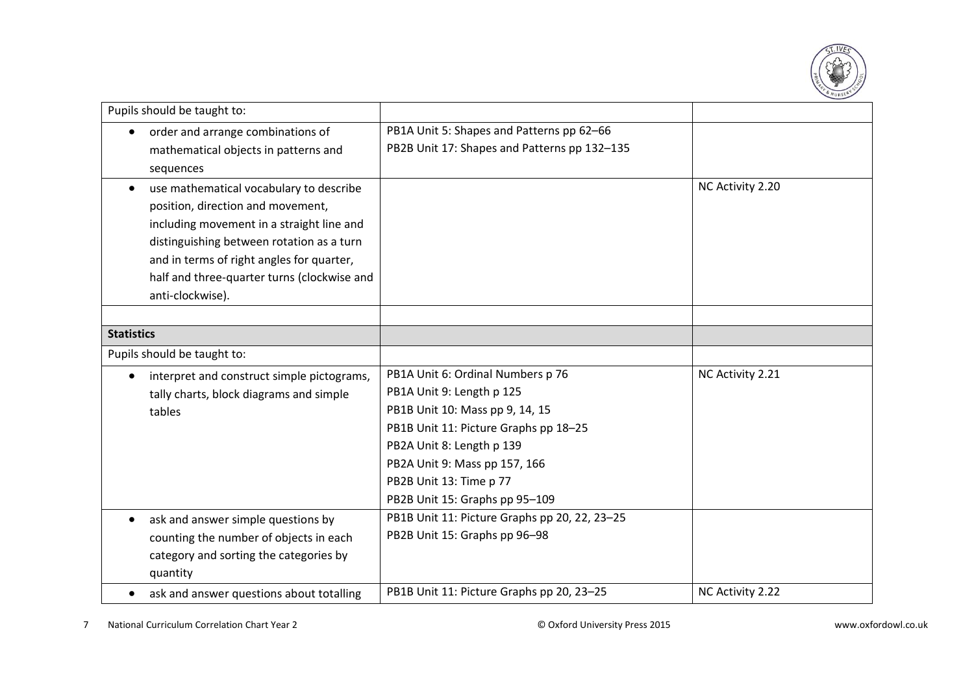

| Pupils should be taught to:                                                                                                                                                                                                                                                            |                                                                                                                                                                                                                                                                       |                  |
|----------------------------------------------------------------------------------------------------------------------------------------------------------------------------------------------------------------------------------------------------------------------------------------|-----------------------------------------------------------------------------------------------------------------------------------------------------------------------------------------------------------------------------------------------------------------------|------------------|
| order and arrange combinations of<br>mathematical objects in patterns and<br>sequences                                                                                                                                                                                                 | PB1A Unit 5: Shapes and Patterns pp 62-66<br>PB2B Unit 17: Shapes and Patterns pp 132-135                                                                                                                                                                             |                  |
| use mathematical vocabulary to describe<br>position, direction and movement,<br>including movement in a straight line and<br>distinguishing between rotation as a turn<br>and in terms of right angles for quarter,<br>half and three-quarter turns (clockwise and<br>anti-clockwise). |                                                                                                                                                                                                                                                                       | NC Activity 2.20 |
| <b>Statistics</b>                                                                                                                                                                                                                                                                      |                                                                                                                                                                                                                                                                       |                  |
| Pupils should be taught to:                                                                                                                                                                                                                                                            |                                                                                                                                                                                                                                                                       |                  |
| interpret and construct simple pictograms,<br>tally charts, block diagrams and simple<br>tables                                                                                                                                                                                        | PB1A Unit 6: Ordinal Numbers p 76<br>PB1A Unit 9: Length p 125<br>PB1B Unit 10: Mass pp 9, 14, 15<br>PB1B Unit 11: Picture Graphs pp 18-25<br>PB2A Unit 8: Length p 139<br>PB2A Unit 9: Mass pp 157, 166<br>PB2B Unit 13: Time p 77<br>PB2B Unit 15: Graphs pp 95-109 | NC Activity 2.21 |
| ask and answer simple questions by<br>counting the number of objects in each<br>category and sorting the categories by<br>quantity                                                                                                                                                     | PB1B Unit 11: Picture Graphs pp 20, 22, 23-25<br>PB2B Unit 15: Graphs pp 96-98                                                                                                                                                                                        |                  |
| ask and answer questions about totalling                                                                                                                                                                                                                                               | PB1B Unit 11: Picture Graphs pp 20, 23-25                                                                                                                                                                                                                             | NC Activity 2.22 |

7 National Curriculum Correlation Chart Year 2 © Oxford University Press 2015 www.oxfordowl.co.uk